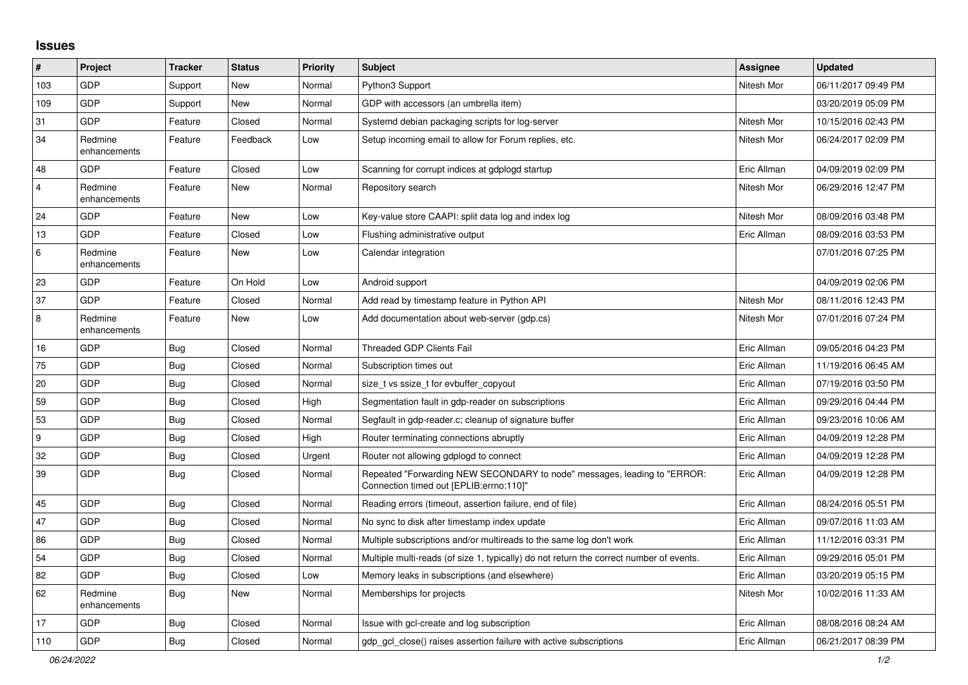## **Issues**

| $\pmb{\sharp}$ | Project                 | <b>Tracker</b> | <b>Status</b> | <b>Priority</b> | <b>Subject</b>                                                                                                      | <b>Assignee</b> | <b>Updated</b>      |
|----------------|-------------------------|----------------|---------------|-----------------|---------------------------------------------------------------------------------------------------------------------|-----------------|---------------------|
| 103            | GDP                     | Support        | New           | Normal          | Python3 Support                                                                                                     | Nitesh Mor      | 06/11/2017 09:49 PM |
| 109            | GDP                     | Support        | New           | Normal          | GDP with accessors (an umbrella item)                                                                               |                 | 03/20/2019 05:09 PM |
| 31             | GDP                     | Feature        | Closed        | Normal          | Systemd debian packaging scripts for log-server                                                                     | Nitesh Mor      | 10/15/2016 02:43 PM |
| 34             | Redmine<br>enhancements | Feature        | Feedback      | Low             | Setup incoming email to allow for Forum replies, etc.                                                               | Nitesh Mor      | 06/24/2017 02:09 PM |
| 48             | GDP                     | Feature        | Closed        | Low             | Scanning for corrupt indices at gdplogd startup                                                                     | Eric Allman     | 04/09/2019 02:09 PM |
| $\overline{4}$ | Redmine<br>enhancements | Feature        | New           | Normal          | Repository search                                                                                                   | Nitesh Mor      | 06/29/2016 12:47 PM |
| 24             | GDP                     | Feature        | New           | Low             | Key-value store CAAPI: split data log and index log                                                                 | Nitesh Mor      | 08/09/2016 03:48 PM |
| 13             | GDP                     | Feature        | Closed        | Low             | Flushing administrative output                                                                                      | Eric Allman     | 08/09/2016 03:53 PM |
| 6              | Redmine<br>enhancements | Feature        | New           | Low             | Calendar integration                                                                                                |                 | 07/01/2016 07:25 PM |
| 23             | GDP                     | Feature        | On Hold       | Low             | Android support                                                                                                     |                 | 04/09/2019 02:06 PM |
| 37             | GDP                     | Feature        | Closed        | Normal          | Add read by timestamp feature in Python API                                                                         | Nitesh Mor      | 08/11/2016 12:43 PM |
| 8              | Redmine<br>enhancements | Feature        | New           | Low             | Add documentation about web-server (gdp.cs)                                                                         | Nitesh Mor      | 07/01/2016 07:24 PM |
| 16             | GDP                     | Bug            | Closed        | Normal          | <b>Threaded GDP Clients Fail</b>                                                                                    | Eric Allman     | 09/05/2016 04:23 PM |
| 75             | GDP                     | <b>Bug</b>     | Closed        | Normal          | Subscription times out                                                                                              | Eric Allman     | 11/19/2016 06:45 AM |
| 20             | GDP                     | <b>Bug</b>     | Closed        | Normal          | size_t vs ssize_t for evbuffer_copyout                                                                              | Eric Allman     | 07/19/2016 03:50 PM |
| 59             | GDP                     | <b>Bug</b>     | Closed        | High            | Segmentation fault in gdp-reader on subscriptions                                                                   | Eric Allman     | 09/29/2016 04:44 PM |
| 53             | GDP                     | <b>Bug</b>     | Closed        | Normal          | Segfault in gdp-reader.c; cleanup of signature buffer                                                               | Eric Allman     | 09/23/2016 10:06 AM |
| 9              | GDP                     | <b>Bug</b>     | Closed        | High            | Router terminating connections abruptly                                                                             | Eric Allman     | 04/09/2019 12:28 PM |
| 32             | GDP                     | <b>Bug</b>     | Closed        | Urgent          | Router not allowing gdplogd to connect                                                                              | Eric Allman     | 04/09/2019 12:28 PM |
| 39             | GDP                     | Bug            | Closed        | Normal          | Repeated "Forwarding NEW SECONDARY to node" messages, leading to "ERROR:<br>Connection timed out [EPLIB:errno:110]" | Eric Allman     | 04/09/2019 12:28 PM |
| 45             | GDP                     | <b>Bug</b>     | Closed        | Normal          | Reading errors (timeout, assertion failure, end of file)                                                            | Eric Allman     | 08/24/2016 05:51 PM |
| 47             | GDP                     | Bug            | Closed        | Normal          | No sync to disk after timestamp index update                                                                        | Eric Allman     | 09/07/2016 11:03 AM |
| 86             | GDP                     | <b>Bug</b>     | Closed        | Normal          | Multiple subscriptions and/or multireads to the same log don't work                                                 | Eric Allman     | 11/12/2016 03:31 PM |
| 54             | GDP                     | <b>Bug</b>     | Closed        | Normal          | Multiple multi-reads (of size 1, typically) do not return the correct number of events.                             | Eric Allman     | 09/29/2016 05:01 PM |
| 82             | <b>GDP</b>              | Bug            | Closed        | Low             | Memory leaks in subscriptions (and elsewhere)                                                                       | Eric Allman     | 03/20/2019 05:15 PM |
| 62             | Redmine<br>enhancements | <b>Bug</b>     | <b>New</b>    | Normal          | Memberships for projects                                                                                            | Nitesh Mor      | 10/02/2016 11:33 AM |
| 17             | GDP                     | <b>Bug</b>     | Closed        | Normal          | Issue with gcl-create and log subscription                                                                          | Eric Allman     | 08/08/2016 08:24 AM |
| 110            | GDP                     | <b>Bug</b>     | Closed        | Normal          | gdp_gcl_close() raises assertion failure with active subscriptions                                                  | Eric Allman     | 06/21/2017 08:39 PM |